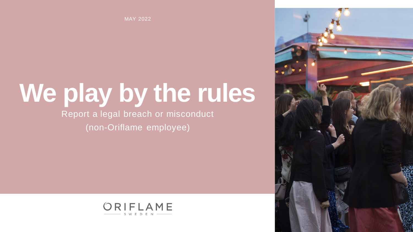MAY 2022

# **We play by the rules**

Report a legal breach or misconduct (non-Oriflame employee)



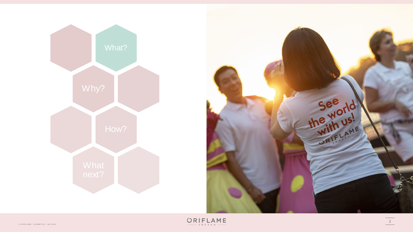

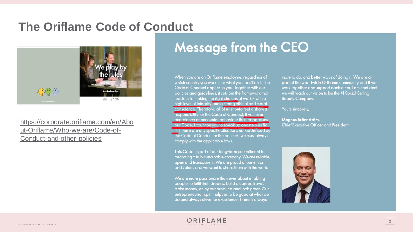#### **The Oriflame Code of Conduct**



#### [https://corporate.oriflame.com/en/Abo](https://corporate.oriflame.com/en/About-Oriflame/Who-we-are/Code-of-Conduct-and-other-policies) ut-Oriflame/Who-we-are/Code-of-Conduct-and-other-policies

### **Message from the CEO**

When you are an Oriflame employee, regardless of which country you work in or what your position is, the Code of Conduct applies to you. Together with our policies and guidelines, it sets out the framework that leads us to making the right choices at work - with a high level of integrity and a strong ethical and moral conscience. Therefore, all of us should feel a shared responsibility for the Code of Conduct. If you ever experience or encounter behaviour that jeopardises our Code, I count on you to speak up and help us fix it. If there are any specific situations not addressed by the Code of Conduct or the policies, we must always comply with the applicable laws.

This Code is part of our long-term commitment to becoming a truly sustainable company. We are reliable, open and transparent. We are proud of our ethics and values and we want to share them with the world.

We are more passionate than ever about enabling people to fulfil their dreams, build a career, travel, make money, enjoy our products and look great. Our entrepreneurial spirit helps us to be good at what we do and always strive for excellence. There is always

more to do, and better ways of doing it. We are all part of the worldwide Oriflame community and if we work together and support each other, I am confident we will reach our vision to be the #1 Social Selling **Beauty Company.** 

Yours sincerely,

Magnus Brännström, **Chief Executive Officer and President** 

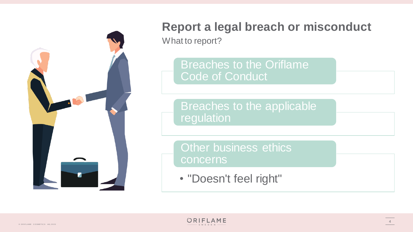

What to report?

Breaches to the Oriflame Code of Conduct

Breaches to the applicable **regulation** 

Other business ethics concerns

• "Doesn't feel right"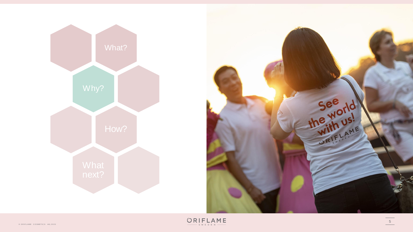

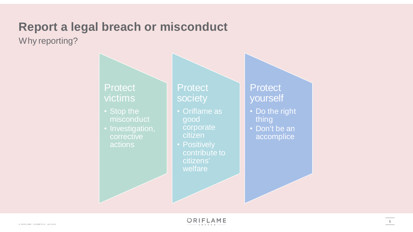Why reporting?

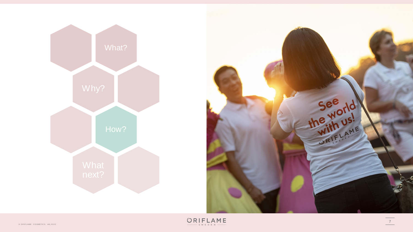



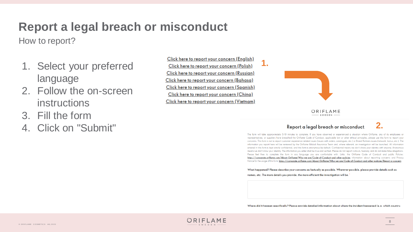How to report?

- 1. Select your preferred language
- 2. Follow the on-screen instructions
- 3. Fill the form
- 4. Click on "Submit"

Click here to report your concern (English) Click here to report your concern (Polish) Click here to report your concern (Russian) Click here to report your concern (Bahasa) Click here to report your concern (Spanish) Click here to report your concern (China) Click here to report your concern (Vietnam)



**1.**

ORIFLAME  $SWEDEN$ 

#### Report a legal breach or misconduct

The form will take approximately 5-10 minutes to complete. If you have observed or experienced a situation where Oriflame, any of its employees or representatives, or suppliers have breached the Oriflame Code of Conduct, applicable law or other ethical principles, please use this form to report your concerns. This form is not to report customer-experience related issues (issues with orders, catalogues, etc.) or Brand Partners issues (network, bonus, etc.). The information you report here will be reviewed by the Oriflame Global Assurance Team and, where relevant, an investigation will be launched. All information entered in this form is kept strictly confidential, and this form is anonymous by default. Confidential means we don't share your identity with anyone; Anonymous means we don't know your identity. The information you enter shall be true and verified. Please do not report rumours, hearsay, and do not make false allegations. Please feel free to complete the form in any language you are comfortable with. Links: the Oriflame Code of Conduct and public Policies: https://corporate.oriflame.com/About-Oriflame/Who-we-are/Code-of-Conduct-and-other-policies information about reporting concerns and Privacy Notice for the usage of this form; https://corporate.oriflame.com/About-Oriflame/Who-we-are/Code-of-Conduct-and-other-policies/Report-a-concern

What happened? Please describe your concerns as factually as possible. Wherever possible, please provide details such as

names, etc. The more details you provide, the more efficient the investigation will be.

Where did it happen specifically? Please provide detailed information about where the incident happened (e.g. which country,



**2.**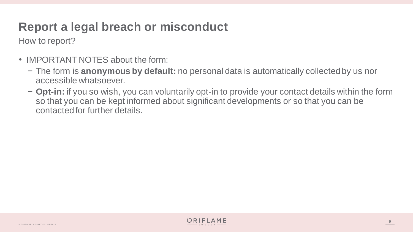How to report?

- IMPORTANT NOTES about the form:
	- − The form is **anonymous by default:** no personal data is automatically collected by us nor accessible whatsoever.
	- − **Opt-in:** if you so wish, you can voluntarily opt-in to provide your contact details within the form so that you can be kept informed about significant developments or so that you can be contacted for further details.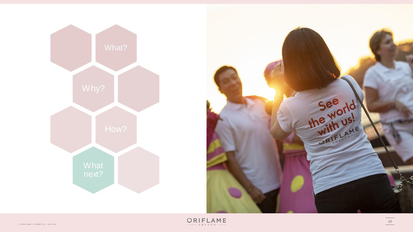

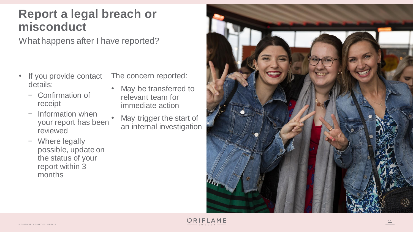What happens after I have reported?

- details:
	- − Confirmation of receipt
	- − Information when your report has been reviewed
- <ul>\n<li>If you provide contact details:\n <ul>\n<li>Configuration of receipt</li>\n<li>Information when your report has been reviewed</li>\n<li>Where leading possible, update on the status of your report within 3 months</li>\n</ul>\n</li>\n</ul> − Where legally possible, update on the status of your report within 3 months

The concern reported:

- May be transferred to relevant team for immediate action
- May trigger the start of an internal investigation